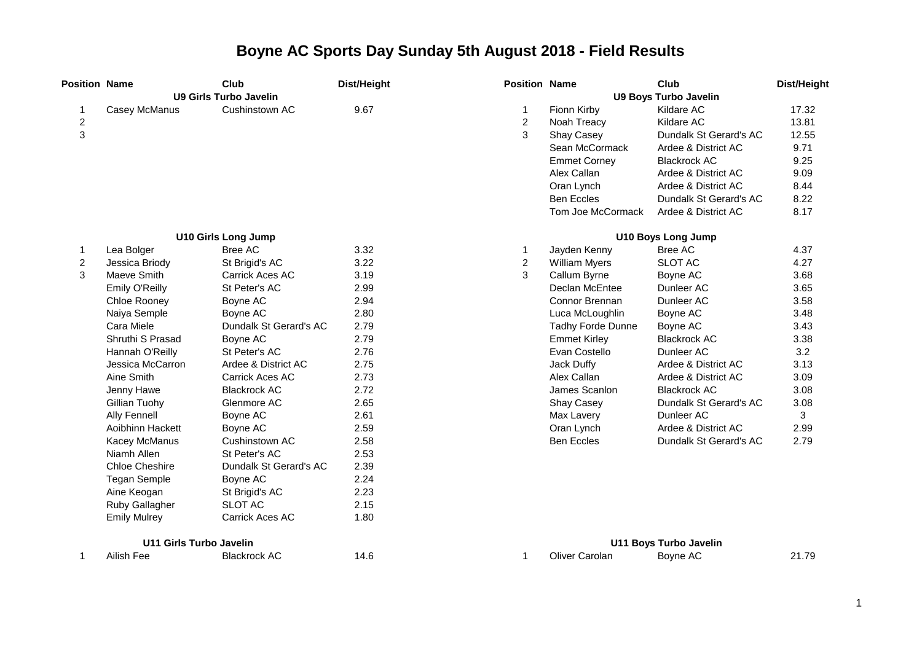| <b>Position Name</b> |                                | Club                          | Dist/Height | <b>Position Name</b> |                      | Club                          | Dist/Height |
|----------------------|--------------------------------|-------------------------------|-------------|----------------------|----------------------|-------------------------------|-------------|
|                      |                                | <b>U9 Girls Turbo Javelin</b> |             |                      |                      | <b>U9 Boys Turbo Javelin</b>  |             |
| 1                    | Casey McManus                  | Cushinstown AC                | 9.67        | 1                    | Fionn Kirby          | Kildare AC                    | 17.32       |
| $\overline{c}$       |                                |                               |             | $\overline{c}$       | Noah Treacy          | Kildare AC                    | 13.81       |
| 3                    |                                |                               |             | 3                    | <b>Shay Casey</b>    | Dundalk St Gerard's AC        | 12.55       |
|                      |                                |                               |             |                      | Sean McCormack       | Ardee & District AC           | 9.71        |
|                      |                                |                               |             |                      | <b>Emmet Corney</b>  | <b>Blackrock AC</b>           | 9.25        |
|                      |                                |                               |             |                      | Alex Callan          | Ardee & District AC           | 9.09        |
|                      |                                |                               |             |                      | Oran Lynch           | Ardee & District AC           | 8.44        |
|                      |                                |                               |             |                      | <b>Ben Eccles</b>    | Dundalk St Gerard's AC        | 8.22        |
|                      |                                |                               |             |                      | Tom Joe McCormack    | Ardee & District AC           | 8.17        |
|                      |                                | <b>U10 Girls Long Jump</b>    |             |                      |                      | <b>U10 Boys Long Jump</b>     |             |
| $\mathbf{1}$         | Lea Bolger                     | <b>Bree AC</b>                | 3.32        | $\mathbf{1}$         | Jayden Kenny         | <b>Bree AC</b>                | 4.37        |
| $\boldsymbol{2}$     | Jessica Briody                 | St Brigid's AC                | 3.22        | $\overline{2}$       | <b>William Myers</b> | <b>SLOT AC</b>                | 4.27        |
| 3                    | Maeve Smith                    | Carrick Aces AC               | 3.19        | 3                    | Callum Byrne         | Boyne AC                      | 3.68        |
|                      | Emily O'Reilly                 | St Peter's AC                 | 2.99        |                      | Declan McEntee       | Dunleer AC                    | 3.65        |
|                      | Chloe Rooney                   | Boyne AC                      | 2.94        |                      | Connor Brennan       | Dunleer AC                    | 3.58        |
|                      | Naiya Semple                   | Boyne AC                      | 2.80        |                      | Luca McLoughlin      | Boyne AC                      | 3.48        |
|                      | Cara Miele                     | Dundalk St Gerard's AC        | 2.79        |                      | Tadhy Forde Dunne    | Boyne AC                      | 3.43        |
|                      | Shruthi S Prasad               | Boyne AC                      | 2.79        |                      | <b>Emmet Kirley</b>  | <b>Blackrock AC</b>           | 3.38        |
|                      | Hannah O'Reilly                | St Peter's AC                 | 2.76        |                      | Evan Costello        | Dunleer AC                    | 3.2         |
|                      | Jessica McCarron               | Ardee & District AC           | 2.75        |                      | Jack Duffy           | Ardee & District AC           | 3.13        |
|                      | Aine Smith                     | <b>Carrick Aces AC</b>        | 2.73        |                      | Alex Callan          | Ardee & District AC           | 3.09        |
|                      | Jenny Hawe                     | <b>Blackrock AC</b>           | 2.72        |                      | James Scanlon        | <b>Blackrock AC</b>           | 3.08        |
|                      | Gillian Tuohy                  | Glenmore AC                   | 2.65        |                      | <b>Shay Casey</b>    | Dundalk St Gerard's AC        | 3.08        |
|                      | <b>Ally Fennell</b>            | Boyne AC                      | 2.61        |                      | Max Lavery           | Dunleer AC                    | 3           |
|                      | Aoibhinn Hackett               | Boyne AC                      | 2.59        |                      | Oran Lynch           | Ardee & District AC           | 2.99        |
|                      | <b>Kacey McManus</b>           | Cushinstown AC                | 2.58        |                      | <b>Ben Eccles</b>    | Dundalk St Gerard's AC        | 2.79        |
|                      | Niamh Allen                    | St Peter's AC                 | 2.53        |                      |                      |                               |             |
|                      | <b>Chloe Cheshire</b>          | Dundalk St Gerard's AC        | 2.39        |                      |                      |                               |             |
|                      | <b>Tegan Semple</b>            | Boyne AC                      | 2.24        |                      |                      |                               |             |
|                      | Aine Keogan                    | St Brigid's AC                | 2.23        |                      |                      |                               |             |
|                      | Ruby Gallagher                 | <b>SLOT AC</b>                | 2.15        |                      |                      |                               |             |
|                      | <b>Emily Mulrey</b>            | Carrick Aces AC               | 1.80        |                      |                      |                               |             |
|                      | <b>U11 Girls Turbo Javelin</b> |                               |             |                      |                      | <b>U11 Boys Turbo Javelin</b> |             |
| 1                    | Ailish Fee                     | <b>Blackrock AC</b>           | 14.6        | 1                    | Oliver Carolan       | Boyne AC                      | 21.79       |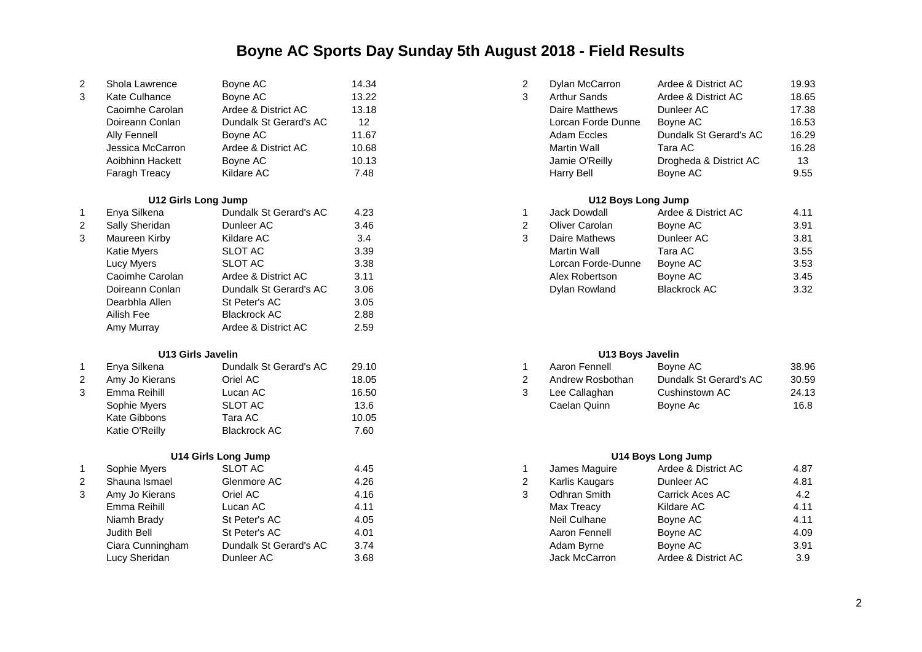| 2 | Shola Lawrence   | Boyne AC               | 14.34 | Dylan McCarron     | Ardee & District AC    | 19.93 |
|---|------------------|------------------------|-------|--------------------|------------------------|-------|
| 3 | Kate Culhance    | Bovne AC               | 13.22 | Arthur Sands       | Ardee & District AC    | 18.65 |
|   | Caoimhe Carolan  | Ardee & District AC    | 13.18 | Daire Matthews     | Dunleer AC             | 17.38 |
|   | Doireann Conlan  | Dundalk St Gerard's AC | 12    | Lorcan Forde Dunne | Bovne AC               | 16.53 |
|   | Ally Fennell     | Boyne AC               | 11.67 | Adam Eccles        | Dundalk St Gerard's AC | 16.29 |
|   | Jessica McCarron | Ardee & District AC    | 10.68 | Martin Wall        | Tara AC                | 16.28 |
|   | Aoibhinn Hackett | Boyne AC               | 10.13 | Jamie O'Reilly     | Drogheda & District AC | 13    |
|   | Faragh Treacy    | Kildare AC             | 7.48  | Harry Bell         | Bovne AC               | 9.55  |

|   | U12 Girls Long Jump |                        |      |   | U12 Boys Long Jump |                     |      |
|---|---------------------|------------------------|------|---|--------------------|---------------------|------|
|   | Enya Silkena        | Dundalk St Gerard's AC | 4.23 |   | Jack Dowdall       | Ardee & District AC | 4.11 |
| 2 | Sally Sheridan      | Dunleer AC             | 3.46 | 2 | Oliver Carolan     | Boyne AC            | 3.91 |
| 3 | Maureen Kirby       | Kildare AC             | 3.4  | 3 | Daire Mathews      | Dunleer AC          | 3.81 |
|   | Katie Myers         | SLOT AC                | 3.39 |   | Martin Wall        | Tara AC             | 3.55 |
|   | Lucy Myers          | SLOT AC                | 3.38 |   | Lorcan Forde-Dunne | Boyne AC            | 3.53 |
|   | Caoimhe Carolan     | Ardee & District AC    | 3.11 |   | Alex Robertson     | Boyne AC            | 3.45 |
|   | Doireann Conlan     | Dundalk St Gerard's AC | 3.06 |   | Dylan Rowland      | <b>Blackrock AC</b> | 3.32 |
|   | Dearbhla Allen      | St Peter's AC          | 3.05 |   |                    |                     |      |
|   | Ailish Fee          | <b>Blackrock AC</b>    | 2.88 |   |                    |                     |      |
|   | Amy Murray          | Ardee & District AC    | 2.59 |   |                    |                     |      |

### **U13 Girls Javelin U13 Boys Javelin**

|   | Enya Silkena   | Dundalk St Gerard's AC | 29.10 | Aaron Fennell    | Bovne AC               | 38.96 |
|---|----------------|------------------------|-------|------------------|------------------------|-------|
| 2 | Amy Jo Kierans | Oriel AC               | 18.05 | Andrew Rosbothan | Dundalk St Gerard's AC | 30.59 |
|   | Emma Reihill   | Lucan AC               | 16.50 | Lee Callaghan    | Cushinstown AC         | 24.13 |
|   | Sophie Myers   | <b>SLOT AC</b>         | 13.6  | Caelan Quinn     | Bovne Ac               | 16.8  |
|   | Kate Gibbons   | Tara AC                | 10.05 |                  |                        |       |
|   | Katie O'Reilly | Blackrock AC           | 7.60  |                  |                        |       |

## **U14 Girls Long Jump U14 Boys Long Jump**

|   | Sophie Myers     | <b>SLOT AC</b>         | 4.45 | James Maguire  | Ardee & District AC | 4.87 |
|---|------------------|------------------------|------|----------------|---------------------|------|
| 2 | Shauna Ismael    | Glenmore AC            | 4.26 | Karlis Kaugars | Dunleer AC          | 4.81 |
| 3 | Amy Jo Kierans   | Oriel AC               | 4.16 | Odhran Smith   | Carrick Aces AC     | 4.2  |
|   | Emma Reihill     | Lucan AC               | 4.11 | Max Treacy     | Kildare AC          | 4.11 |
|   | Niamh Brady      | St Peter's AC          | 4.05 | Neil Culhane   | Boyne AC            | 4.11 |
|   | Judith Bell      | St Peter's AC          | 4.01 | Aaron Fennell  | Boyne AC            | 4.09 |
|   | Ciara Cunningham | Dundalk St Gerard's AC | 3.74 | Adam Byrne     | Boyne AC            | 3.91 |
|   | Lucy Sheridan    | Dunleer AC             | 3.68 | Jack McCarron  | Ardee & District AC | 3.9  |

| Shola Lawrence   | Boyne AC               | 14.34 | Dylan McCarron     | Ardee & District AC    | 19.93 |
|------------------|------------------------|-------|--------------------|------------------------|-------|
| Kate Culhance    | Boyne AC               | 13.22 | Arthur Sands       | Ardee & District AC    | 18.65 |
| Caoimhe Carolan  | Ardee & District AC    | 13.18 | Daire Matthews     | Dunleer AC             | 17.38 |
| Doireann Conlan  | Dundalk St Gerard's AC | 12    | Lorcan Forde Dunne | Bovne AC               | 16.53 |
| Ally Fennell     | Bovne AC               | 11.67 | Adam Eccles        | Dundalk St Gerard's AC | 16.29 |
| Jessica McCarron | Ardee & District AC    | 10.68 | Martin Wall        | Tara AC                | 16.28 |
| Aoibhinn Hackett | Boyne AC               | 10.13 | Jamie O'Reilly     | Drogheda & District AC | 13    |
| Faragh Treacy    | Kildare AC             | 7.48  | Harry Bell         | Boyne AC               | 9.55  |
|                  |                        |       |                    |                        |       |

|                     | 4.11                                      |
|---------------------|-------------------------------------------|
| Boyne AC            | 3.91                                      |
| Dunleer AC          | 3.81                                      |
| Tara AC             | 3.55                                      |
| Boyne AC            | 3.53                                      |
| Bovne AC            | 3.45                                      |
| <b>Blackrock AC</b> | 3.32                                      |
|                     | Ardee & District AC<br>Lorcan Forde-Dunne |

| Enya Silkena   | Dundalk St Gerard's AC | 29.10 | Aaron Fennell    | Bovne AC               | 38.96 |
|----------------|------------------------|-------|------------------|------------------------|-------|
| Amy Jo Kierans | วriel AC               | 18.05 | Andrew Rosbothan | Dundalk St Gerard's AC | 30.59 |
| Emma Reihill   | ∟ucan AC               | 16.50 | Lee Callaghan    | Cushinstown AC         | 24.13 |
| Sophie Myers   | SLOT AC                | 13.6  | Caelan Quinn.    | Bovne Ac               | 16.8  |

| Sophie Myers     | SLOT AC                | 4.45 | James Maguire  | Ardee & District AC | 4.87 |
|------------------|------------------------|------|----------------|---------------------|------|
| Shauna Ismael    | Glenmore AC            | 4.26 | Karlis Kaugars | Dunleer AC          | 4.81 |
| Amy Jo Kierans   | Oriel AC               | 4.16 | Odhran Smith   | Carrick Aces AC     | 4.2  |
| Emma Reihill     | Lucan AC               | 4.11 | Max Treacy     | Kildare AC          | 4.11 |
| Niamh Brady      | St Peter's AC          | 4.05 | Neil Culhane   | Boyne AC            | 4.11 |
| Judith Bell      | St Peter's AC          | 4.01 | Aaron Fennell  | Boyne AC            | 4.09 |
| Ciara Cunningham | Dundalk St Gerard's AC | 3.74 | Adam Byrne     | Bovne AC            | 3.91 |
| Lucy Sheridan    | Dunleer AC             | 3.68 | Jack McCarron  | Ardee & District AC | 3.9  |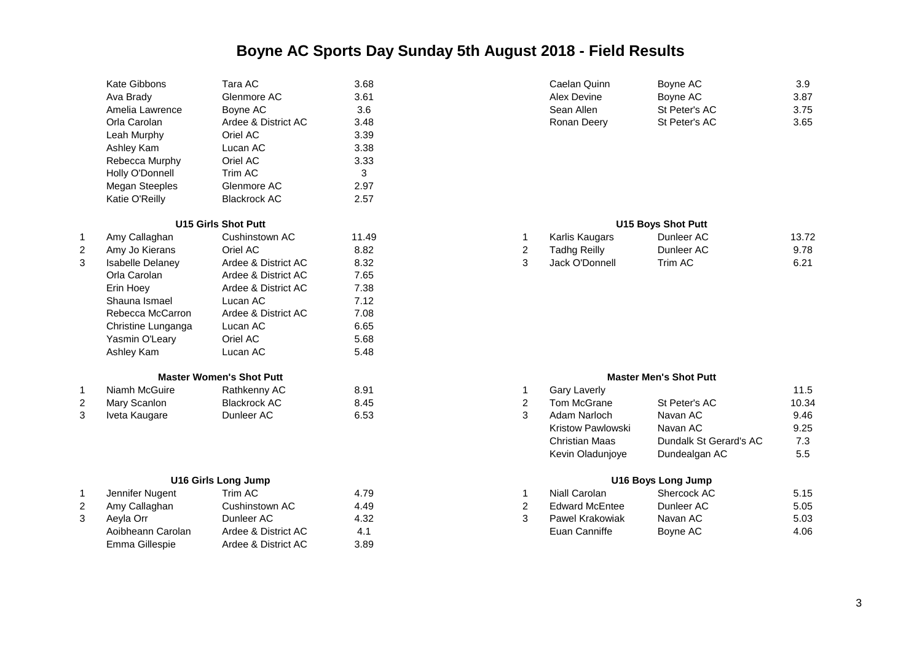|   | Kate Gibbons            | Tara AC                         | 3.68  |                | Caelan Quinn                                                                   | Boyne AC                                                                  | 3.9   |
|---|-------------------------|---------------------------------|-------|----------------|--------------------------------------------------------------------------------|---------------------------------------------------------------------------|-------|
|   | Ava Brady               | Glenmore AC                     | 3.61  |                | Alex Devine                                                                    | Boyne AC                                                                  | 3.87  |
|   | Amelia Lawrence         | Boyne AC                        | 3.6   |                | Sean Allen                                                                     | St Peter's AC                                                             | 3.75  |
|   | Orla Carolan            | Ardee & District AC             | 3.48  |                | Ronan Deery                                                                    | St Peter's AC                                                             | 3.65  |
|   | Leah Murphy             | Oriel AC                        | 3.39  |                |                                                                                |                                                                           |       |
|   | Ashley Kam              | Lucan AC                        | 3.38  |                |                                                                                |                                                                           |       |
|   | Rebecca Murphy          | Oriel AC                        | 3.33  |                |                                                                                |                                                                           |       |
|   | Holly O'Donnell         | Trim AC                         | 3     |                |                                                                                |                                                                           |       |
|   | Megan Steeples          | Glenmore AC                     | 2.97  |                |                                                                                |                                                                           |       |
|   | Katie O'Reilly          | <b>Blackrock AC</b>             | 2.57  |                |                                                                                |                                                                           |       |
|   |                         | <b>U15 Girls Shot Putt</b>      |       |                |                                                                                | <b>U15 Boys Shot Putt</b>                                                 |       |
| 1 | Amy Callaghan           | Cushinstown AC                  | 11.49 | 1              | Karlis Kaugars                                                                 | Dunleer AC                                                                | 13.72 |
|   | Amy Jo Kierans          | Oriel AC                        | 8.82  | $\overline{2}$ | <b>Tadhg Reilly</b>                                                            | Dunleer AC                                                                | 9.78  |
| 3 | <b>Isabelle Delaney</b> | Ardee & District AC             | 8.32  | 3              | Jack O'Donnell                                                                 | Trim AC                                                                   | 6.21  |
|   | Orla Carolan            | Ardee & District AC             | 7.65  |                |                                                                                |                                                                           |       |
|   | Erin Hoey               | Ardee & District AC             | 7.38  |                |                                                                                |                                                                           |       |
|   | Shauna Ismael           | Lucan AC                        | 7.12  |                |                                                                                |                                                                           |       |
|   | Rebecca McCarron        | Ardee & District AC             | 7.08  |                |                                                                                |                                                                           |       |
|   | Christine Lunganga      | Lucan AC                        | 6.65  |                |                                                                                |                                                                           |       |
|   | Yasmin O'Leary          | Oriel AC                        | 5.68  |                |                                                                                |                                                                           |       |
|   | Ashley Kam              | Lucan AC                        | 5.48  |                |                                                                                |                                                                           |       |
|   |                         | <b>Master Women's Shot Putt</b> |       |                |                                                                                | <b>Master Men's Shot Putt</b>                                             |       |
| 1 | Niamh McGuire           | Rathkenny AC                    | 8.91  | 1              | <b>Gary Laverly</b>                                                            |                                                                           | 11.5  |
| 2 | Mary Scanlon            | <b>Blackrock AC</b>             | 8.45  | $\overline{2}$ | Tom McGrane                                                                    | St Peter's AC                                                             | 10.34 |
| 3 | Iveta Kaugare           | Dunleer AC                      | 6.53  | 3              | Adam Narloch                                                                   | Navan AC                                                                  | 9.46  |
|   |                         |                                 |       |                | <b>Kristow Pawlowski</b>                                                       | Navan AC                                                                  | 9.25  |
|   |                         |                                 |       |                | <b>Christian Maas</b>                                                          | Dundalk St Gerard's AC                                                    | 7.3   |
|   |                         |                                 |       |                | $\mathcal{U}$ and $\mathcal{U}$ and $\mathcal{U}$ are the set of $\mathcal{U}$ | $\sum_{n=1}^{\infty}$ and $\sum_{n=1}^{\infty}$ and $\sum_{n=1}^{\infty}$ | $ -$  |

|   | Jennifer Nugent   | Trim AC             | 4.79 | Niall Carolan         | Shercock AC | 5.15 |
|---|-------------------|---------------------|------|-----------------------|-------------|------|
| ∠ | Amy Callaghan     | Cushinstown AC      | 4.49 | <b>Edward McEntee</b> | Dunleer AC  | 5.05 |
|   | Aevla Orr         | Dunleer AC          | 4.32 | Pawel Krakowiak       | Navan AC    | 5.03 |
|   | Aoibheann Carolan | Ardee & District AC |      | Euan Canniffe         | Boyne AC    | 4.06 |
|   | Emma Gillespie    | Ardee & District AC | 3.89 |                       |             |      |

| Caelan Quinn | Boyne AC      | 3.9  |
|--------------|---------------|------|
| Alex Devine  | Boyne AC      | 3.87 |
| Sean Allen   | St Peter's AC | 3.75 |
| Ronan Deery  | St Peter's AC | 3.65 |

### **U15 Girls Shot Putt U15 Boys Shot Putt**

| Amy Callaghan    | Cushinstown AC      | 1.49 | Karlis Kaugars | Dunleer AC     | 13.72 |
|------------------|---------------------|------|----------------|----------------|-------|
| Amy Jo Kierans   | Oriel AC            | 8.82 | Tadhg Reilly   | Dunleer AC     | 9.78  |
| Isabelle Delanev | Ardee & District AC | 8.32 | Jack O'Donnell | <b>Trim AC</b> | 6.21  |

### **Master Men's Shot Putt**

| 1 | <b>Gary Laverly</b>      |                        | 11.5          |
|---|--------------------------|------------------------|---------------|
| 2 | Tom McGrane              | St Peter's AC          | 10.34         |
| 3 | Adam Narloch             | Navan AC               | 9.46          |
|   | <b>Kristow Pawlowski</b> | Navan AC               | 9.25          |
|   | <b>Christian Maas</b>    | Dundalk St Gerard's AC | 7.3           |
|   | Kevin Oladunjoye         | Dundealgan AC          | $5.5^{\circ}$ |
|   |                          |                        |               |

## **U16 Girls Long Jump U16 Boys Long Jump**

| Jennifer Nugent   | $\tau$ rim AC $\;$  | 4.79 | Niall Carolan         | Shercock AC | 5.15 |
|-------------------|---------------------|------|-----------------------|-------------|------|
| Amy Callaghan     | Cushinstown AC      | 4.49 | <b>Edward McEntee</b> | Dunleer AC  | 5.05 |
| Aevla Orr         | Dunleer AC-         | 4.32 | Pawel Krakowiak       | Navan AC    | 5.03 |
| Aoibheann Carolan | Ardee & District AC |      | Euan Canniffe         | Bovne AC    | 4.06 |